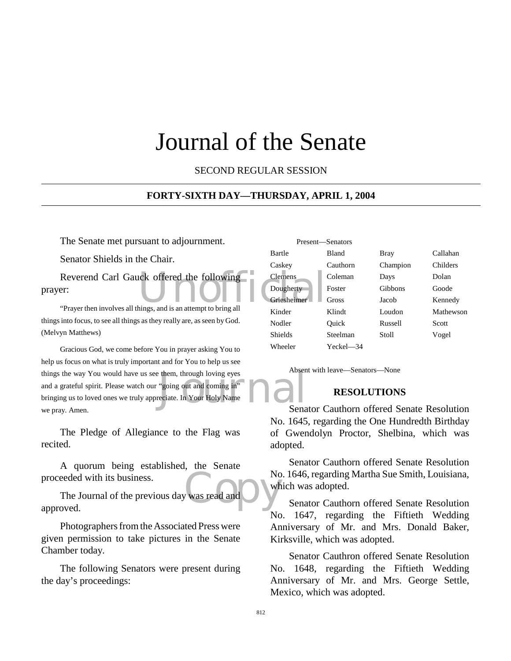### Journal of the Senate

SECOND REGULAR SESSION

#### **FORTY-SIXTH DAY—THURSDAY, APRIL 1, 2004**

The Senate met pursuant to adjournment.

Senator Shields in the Chair.

Reverend Carl Gauck offered the following<br>
Pougherty<br>
"Praver then involves all things, and is an attempt to bring all prayer:

"Prayer then involves all things, and is an attempt to bring all things into focus, to see all things as they really are, as seen by God. (Melvyn Matthews)

them, through loving eyes<br>
"going out and coming in"<br>
eciate. In Your Holy Name Gracious God, we come before You in prayer asking You to help us focus on what is truly important and for You to help us see things the way You would have us see them, through loving eyes and a grateful spirit. Please watch our "going out and coming in" bringing us to loved ones we truly appreciate. In Your Holy Name we pray. Amen.

The Pledge of Allegiance to the Flag was recited.

A quorum being established, the Senate proceeded with its business.

No. The Journal of the previous day was read and approved.

Photographers from the Associated Press were given permission to take pictures in the Senate Chamber today.

The following Senators were present during the day's proceedings:

|                | Present-Senators |          |           |
|----------------|------------------|----------|-----------|
| Bartle         | <b>Bland</b>     | Bray     | Callahan  |
| Caskey         | Cauthorn         | Champion | Childers  |
| Clemens        | Coleman          | Days     | Dolan     |
| Dougherty      | Foster           | Gibbons  | Goode     |
| Griesheimer    | Gross            | Jacob    | Kennedy   |
| Kinder         | Klindt           | Loudon   | Mathewson |
| Nodler         | Ouick            | Russell  | Scott     |
| <b>Shields</b> | Steelman         | Stoll    | Vogel     |
| Wheeler        | Yeckel—34        |          |           |

Absent with leave—Senators—None

#### **RESOLUTIONS**

Senator Cauthorn offered Senate Resolution No. 1645, regarding the One Hundredth Birthday of Gwendolyn Proctor, Shelbina, which was adopted.

Senator Cauthorn offered Senate Resolution No. 1646, regarding Martha Sue Smith, Louisiana, which was adopted.

Senator Cauthorn offered Senate Resolution No. 1647, regarding the Fiftieth Wedding Anniversary of Mr. and Mrs. Donald Baker, Kirksville, which was adopted.

Senator Cauthron offered Senate Resolution No. 1648, regarding the Fiftieth Wedding Anniversary of Mr. and Mrs. George Settle, Mexico, which was adopted.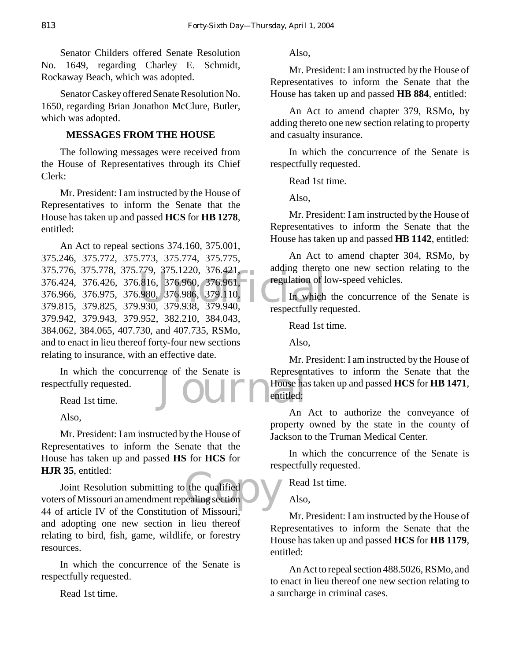Senator Childers offered Senate Resolution No. 1649, regarding Charley E. Schmidt, Rockaway Beach, which was adopted.

Senator Caskey offered Senate Resolution No. 1650, regarding Brian Jonathon McClure, Butler, which was adopted.

#### **MESSAGES FROM THE HOUSE**

The following messages were received from the House of Representatives through its Chief Clerk:

Mr. President: I am instructed by the House of Representatives to inform the Senate that the House has taken up and passed **HCS** for **HB 1278**, entitled:

119, 313.1220, 316.421,<br>
816, 376.960, 376.961, regulation of l.<br>
980, 376.986, 379.110, In which<br>
930, 379.938, 379.940, respectfully regulation. An Act to repeal sections 374.160, 375.001, 375.246, 375.772, 375.773, 375.774, 375.775, 375.776, 375.778, 375.779, 375.1220, 376.421, 376.424, 376.426, 376.816, 376.960, 376.961, 376.966, 376.975, 376.980, 376.986, 379.110, 379.815, 379.825, 379.930, 379.938, 379.940, 379.942, 379.943, 379.952, 382.210, 384.043, 384.062, 384.065, 407.730, and 407.735, RSMo, and to enact in lieu thereof forty-four new sections relating to insurance, with an effective date.

Ce of the Senate is Represent<br>
Representing House has entitled: In which the concurrence of the Senate is respectfully requested.

Read 1st time.

Also,

Mr. President: I am instructed by the House of Representatives to inform the Senate that the House has taken up and passed **HS** for **HCS** for **HJR 35**, entitled:

the qualified<br>Dealing section Joint Resolution submitting to the qualified voters of Missouri an amendment repealing section 44 of article IV of the Constitution of Missouri and adopting one new section in lieu thereof relating to bird, fish, game, wildlife, or forestry resources.

In which the concurrence of the Senate is respectfully requested.

Read 1st time.

Also,

Mr. President: I am instructed by the House of Representatives to inform the Senate that the House has taken up and passed **HB 884**, entitled:

An Act to amend chapter 379, RSMo, by adding thereto one new section relating to property and casualty insurance.

In which the concurrence of the Senate is respectfully requested.

Read 1st time.

Also,

Mr. President: I am instructed by the House of Representatives to inform the Senate that the House has taken up and passed **HB 1142**, entitled:

An Act to amend chapter 304, RSMo, by adding thereto one new section relating to the regulation of low-speed vehicles.

In which the concurrence of the Senate is respectfully requested.

Read 1st time.

Also,

Mr. President: I am instructed by the House of Representatives to inform the Senate that the House has taken up and passed **HCS** for **HB 1471**, entitled:

An Act to authorize the conveyance of property owned by the state in the county of Jackson to the Truman Medical Center.

In which the concurrence of the Senate is respectfully requested.

Read 1st time.

Also,

Mr. President: I am instructed by the House of Representatives to inform the Senate that the House has taken up and passed **HCS** for **HB 1179**, entitled:

An Act to repeal section 488.5026, RSMo, and to enact in lieu thereof one new section relating to a surcharge in criminal cases.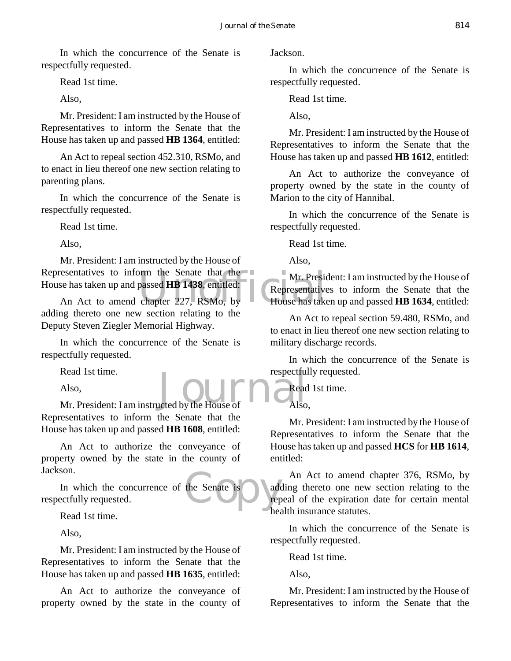In which the concurrence of the Senate is respectfully requested.

Read 1st time.

Also,

Mr. President: I am instructed by the House of Representatives to inform the Senate that the House has taken up and passed **HB 1364**, entitled:

An Act to repeal section 452.310, RSMo, and to enact in lieu thereof one new section relating to parenting plans.

In which the concurrence of the Senate is respectfully requested.

Read 1st time.

Also,

orm the Senate that the Mr. Presidents<br>passed HB 1438, entitled:<br>chapter 227, RSMo, by House has take Mr. President: I am instructed by the House of Representatives to inform the Senate that the House has taken up and passed **HB 1438**, entitled:

An Act to amend chapter 227, RSMo, by adding thereto one new section relating to the Deputy Steven Ziegler Memorial Highway.

In which the concurrence of the Senate is respectfully requested.

Read 1st time.

Also,

Read 1st time.<br>
Also,<br>
Mr. President: I am instructed by the House of Also Representatives to inform the Senate that the House has taken up and passed **HB 1608**, entitled:

An Act to authorize the conveyance of property owned by the state in the county of Jackson.

the Senate is address In which the concurrence of the Senate is respectfully requested.

Read 1st time.

Also,

Mr. President: I am instructed by the House of Representatives to inform the Senate that the House has taken up and passed **HB 1635**, entitled:

An Act to authorize the conveyance of property owned by the state in the county of

Jackson.

In which the concurrence of the Senate is respectfully requested.

Read 1st time.

Also,

Mr. President: I am instructed by the House of Representatives to inform the Senate that the House has taken up and passed **HB 1612**, entitled:

An Act to authorize the conveyance of property owned by the state in the county of Marion to the city of Hannibal.

In which the concurrence of the Senate is respectfully requested.

Read 1st time.

Also,

Mr. President: I am instructed by the House of Representatives to inform the Senate that the House has taken up and passed **HB 1634**, entitled:

An Act to repeal section 59.480, RSMo, and to enact in lieu thereof one new section relating to military discharge records.

In which the concurrence of the Senate is respectfully requested.

Read 1st time. Also,

Mr. President: I am instructed by the House of Representatives to inform the Senate that the House has taken up and passed **HCS** for **HB 1614**, entitled:

An Act to amend chapter 376, RSMo, by adding thereto one new section relating to the repeal of the expiration date for certain mental health insurance statutes.

In which the concurrence of the Senate is respectfully requested.

Read 1st time.

Also,

Mr. President: I am instructed by the House of Representatives to inform the Senate that the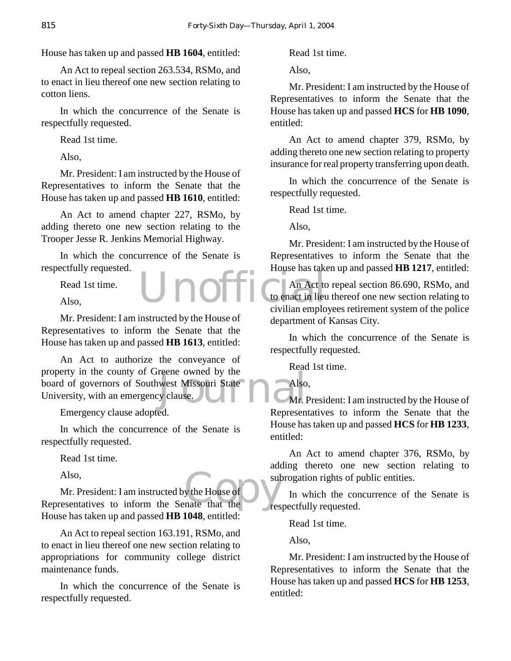House has taken up and passed **HB 1604**, entitled:

An Act to repeal section 263.534, RSMo, and to enact in lieu thereof one new section relating to cotton liens.

In which the concurrence of the Senate is respectfully requested.

Read 1st time.

Also,

Mr. President: I am instructed by the House of Representatives to inform the Senate that the House has taken up and passed **HB 1610**, entitled:

An Act to amend chapter 227, RSMo, by adding thereto one new section relating to the Trooper Jesse R. Jenkins Memorial Highway.

In which the concurrence of the Senate is respectfully requested.

Read 1st time.

Also,

Mr. President: I am instructed by the House of Representatives to inform the Senate that the House has taken up and passed **HB 1613**, entitled:

reene owned by the<br>west Missouri State<br>y clause. An Act to authorize the conveyance of property in the county of Greene owned by the board of governors of Southwest Missouri State University, with an emergency clause.

Emergency clause adopted.

In which the concurrence of the Senate is respectfully requested.

Read 1st time.

Also,

y the House of and the Mes Mr. President: I am instructed by the House of Representatives to inform the Senate that the House has taken up and passed **HB 1048**, entitled:

An Act to repeal section 163.191, RSMo, and to enact in lieu thereof one new section relating to appropriations for community college district maintenance funds.

In which the concurrence of the Senate is respectfully requested.

Read 1st time.

Also,

Mr. President: I am instructed by the House of Representatives to inform the Senate that the House has taken up and passed **HCS** for **HB 1090**, entitled:

An Act to amend chapter 379, RSMo, by adding thereto one new section relating to property insurance for real property transferring upon death.

In which the concurrence of the Senate is respectfully requested.

Read 1st time.

Also,

Mr. President: I am instructed by the House of Representatives to inform the Senate that the House has taken up and passed **HB 1217**, entitled:

Unofficial Coenact in lieu An Act to repeal section 86.690, RSMo, and to enact in lieu thereof one new section relating to civilian employees retirement system of the police department of Kansas City.

> In which the concurrence of the Senate is respectfully requested.

Read 1st time.

Also,

Mr. President: I am instructed by the House of Representatives to inform the Senate that the House has taken up and passed **HCS** for **HB 1233**, entitled:

An Act to amend chapter 376, RSMo, by adding thereto one new section relating to subrogation rights of public entities.

In which the concurrence of the Senate is respectfully requested.

Read 1st time.

Also,

Mr. President: I am instructed by the House of Representatives to inform the Senate that the House has taken up and passed **HCS** for **HB 1253**, entitled: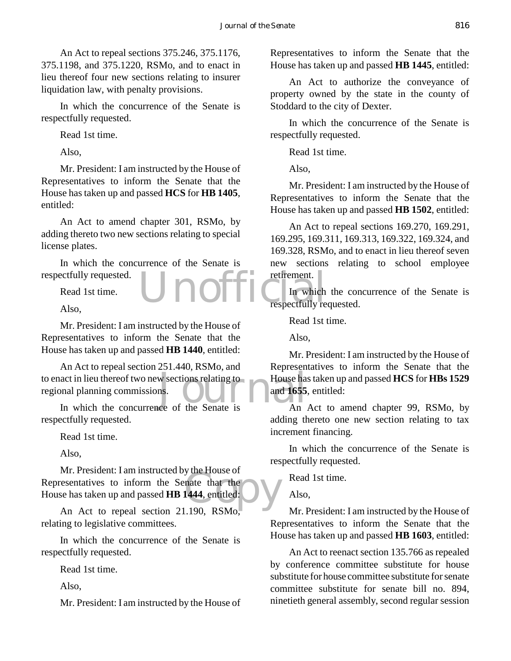An Act to repeal sections 375.246, 375.1176, 375.1198, and 375.1220, RSMo, and to enact in lieu thereof four new sections relating to insurer liquidation law, with penalty provisions.

In which the concurrence of the Senate is respectfully requested.

Read 1st time.

Also,

Mr. President: I am instructed by the House of Representatives to inform the Senate that the House has taken up and passed **HCS** for **HB 1405**, entitled:

An Act to amend chapter 301, RSMo, by adding thereto two new sections relating to special license plates.

In which the concurrence of the Senate is respectfully requested.

Read 1st time.

Also,

Mr. President: I am instructed by the House of Representatives to inform the Senate that the House has taken up and passed **HB 1440**, entitled:

to enact in lieu thereof two new sections relating to<br>
regional planning commissions.<br>
In which the concurrence of the Senate is<br>
An An Act to repeal section 251.440, RSMo, and regional planning commissions.

In which the concurrence of the Senate is respectfully requested.

Read 1st time.

Also,

y the Frouse of<br>
nate that the<br>
1444, entitled:  $\sum$ Mr. President: I am instructed by the House of Representatives to inform the Senate that the House has taken up and passed **HB 1444**, entitled:

An Act to repeal section 21.190, RSMo, relating to legislative committees.

In which the concurrence of the Senate is respectfully requested.

Read 1st time.

Also,

Mr. President: I am instructed by the House of

Representatives to inform the Senate that the House has taken up and passed **HB 1445**, entitled:

An Act to authorize the conveyance of property owned by the state in the county of Stoddard to the city of Dexter.

In which the concurrence of the Senate is respectfully requested.

Read 1st time.

Also,

Mr. President: I am instructed by the House of Representatives to inform the Senate that the House has taken up and passed **HB 1502**, entitled:

An Act to repeal sections 169.270, 169.291, 169.295, 169.311, 169.313, 169.322, 169.324, and 169.328, RSMo, and to enact in lieu thereof seven new sections relating to school employee retirement.

Unofficial In which In which the concurrence of the Senate is respectfully requested.

Read 1st time.

Also,

Mr. President: I am instructed by the House of Representatives to inform the Senate that the House has taken up and passed **HCS** for **HBs 1529** and **1655**, entitled:

An Act to amend chapter 99, RSMo, by adding thereto one new section relating to tax increment financing.

In which the concurrence of the Senate is respectfully requested.

Read 1st time.

Also,

Mr. President: I am instructed by the House of Representatives to inform the Senate that the House has taken up and passed **HB 1603**, entitled:

An Act to reenact section 135.766 as repealed by conference committee substitute for house substitute for house committee substitute for senate committee substitute for senate bill no. 894, ninetieth general assembly, second regular session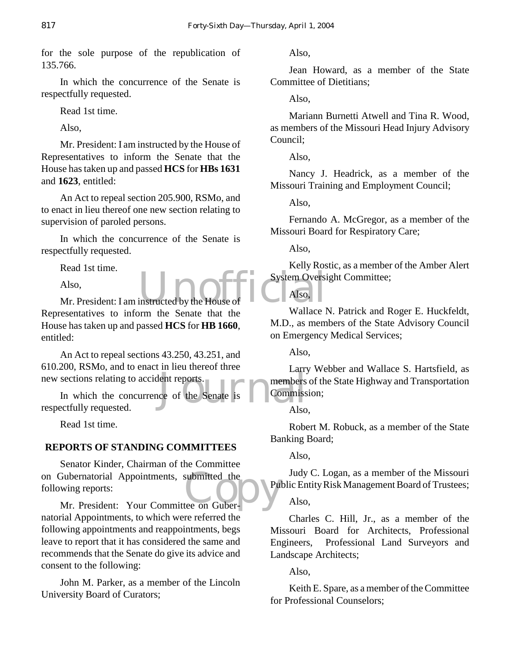for the sole purpose of the republication of 135.766.

In which the concurrence of the Senate is respectfully requested.

Read 1st time.

Also,

Mr. President: I am instructed by the House of Representatives to inform the Senate that the House has taken up and passed **HCS** for **HBs 1631** and **1623**, entitled:

An Act to repeal section 205.900, RSMo, and to enact in lieu thereof one new section relating to supervision of paroled persons.

In which the concurrence of the Senate is respectfully requested.

Read 1st time.

Also,

Also,<br>Mr. President: I am instructed by the House of Representatives to inform the Senate that the House has taken up and passed **HCS** for **HB 1660**, entitled:

An Act to repeal sections 43.250, 43.251, and 610.200, RSMo, and to enact in lieu thereof three new sections relating to accident reports.

Langue Langue<br>
Lent reports.<br>
Commiss<br>
Commiss<br>
Also In which the concurrence of the Senate is respectfully requested.

Read 1st time.

#### **REPORTS OF STANDING COMMITTEES**

on Gubernatorial Appointments, submitted the following reports:<br>
Mr. President: Your Committee on Guber-Senator Kinder, Chairman of the Committee following reports:

Mr. President: Your Committee on Gubernatorial Appointments, to which were referred the following appointments and reappointments, begs leave to report that it has considered the same and recommends that the Senate do give its advice and consent to the following:

John M. Parker, as a member of the Lincoln University Board of Curators;

Also,

Jean Howard, as a member of the State Committee of Dietitians;

Also,

Mariann Burnetti Atwell and Tina R. Wood, as members of the Missouri Head Injury Advisory Council;

Also,

Nancy J. Headrick, as a member of the Missouri Training and Employment Council;

Also,

Fernando A. McGregor, as a member of the Missouri Board for Respiratory Care;

Also,

Kelly Rostic, as a member of the Amber Alert System Oversight Committee;

Also,

Wallace N. Patrick and Roger E. Huckfeldt, M.D., as members of the State Advisory Council on Emergency Medical Services;

Also,

Larry Webber and Wallace S. Hartsfield, as members of the State Highway and Transportation Commission;

Also,

Robert M. Robuck, as a member of the State Banking Board;

Also,

Judy C. Logan, as a member of the Missouri Public Entity Risk Management Board of Trustees;

#### Also,

Charles C. Hill, Jr., as a member of the Missouri Board for Architects, Professional Engineers, Professional Land Surveyors and Landscape Architects;

Also,

Keith E. Spare, as a member of the Committee for Professional Counselors;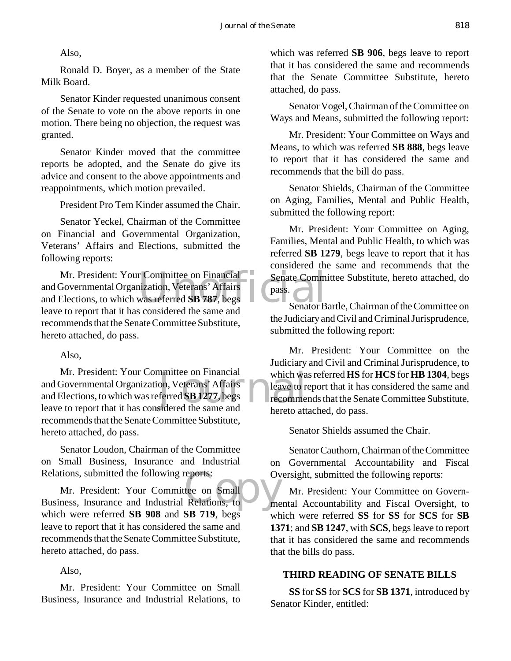Also,

Ronald D. Boyer, as a member of the State Milk Board.

Senator Kinder requested unanimous consent of the Senate to vote on the above reports in one motion. There being no objection, the request was granted.

Senator Kinder moved that the committee reports be adopted, and the Senate do give its advice and consent to the above appointments and reappointments, which motion prevailed.

President Pro Tem Kinder assumed the Chair.

Senator Yeckel, Chairman of the Committee on Financial and Governmental Organization, Veterans' Affairs and Elections, submitted the following reports:

Mr. President: Your Committee on Financial<br>
Governmental Organization, Veterans' Affairs<br>
Elections, to which was referred SB 787, begs<br>
Senator B and Governmental Organization, Veterans' Affairs and Elections, to which was referred **SB 787**, begs leave to report that it has considered the same and recommends that the Senate Committee Substitute, hereto attached, do pass.

Also,

mmittee on Financial<br>
on, Veterans' Affairs<br>
ferred SB 1277, begs<br>
sidered the same and<br>
hereto att Mr. President: Your Committee on Financial and Governmental Organization, Veterans' Affairs and Elections, to which was referred **SB 1277**, begs leave to report that it has considered the same and recommends that the Senate Committee Substitute, hereto attached, do pass.

Senator Loudon, Chairman of the Committee on Small Business, Insurance and Industrial Relations, submitted the following reports:

Relations, submitted the following reports:<br>
Mr. President: Your Committee on Small<br>
Business, Insurance and Industrial Relations, to Mr. President: Your Committee on Small which were referred **SB 908** and **SB 719**, begs leave to report that it has considered the same and recommends that the Senate Committee Substitute, hereto attached, do pass.

Also,

Mr. President: Your Committee on Small Business, Insurance and Industrial Relations, to which was referred **SB 906**, begs leave to report that it has considered the same and recommends that the Senate Committee Substitute, hereto attached, do pass.

Senator Vogel, Chairman of the Committee on Ways and Means, submitted the following report:

Mr. President: Your Committee on Ways and Means, to which was referred **SB 888**, begs leave to report that it has considered the same and recommends that the bill do pass.

Senator Shields, Chairman of the Committee on Aging, Families, Mental and Public Health, submitted the following report:

Mr. President: Your Committee on Aging, Families, Mental and Public Health, to which was referred **SB 1279**, begs leave to report that it has considered the same and recommends that the Senate Committee Substitute, hereto attached, do pass.

Senator Bartle, Chairman of the Committee on the Judiciary and Civil and Criminal Jurisprudence, submitted the following report:

Mr. President: Your Committee on the Judiciary and Civil and Criminal Jurisprudence, to which was referred **HS** for **HCS** for **HB 1304**, begs leave to report that it has considered the same and recommends that the Senate Committee Substitute, hereto attached, do pass.

Senator Shields assumed the Chair.

Senator Cauthorn, Chairman of the Committee on Governmental Accountability and Fiscal Oversight, submitted the following reports:

Mr. President: Your Committee on Governmental Accountability and Fiscal Oversight, to which were referred **SS** for **SS** for **SCS** for **SB 1371**; and **SB 1247**, with **SCS**, begs leave to report that it has considered the same and recommends that the bills do pass.

#### **THIRD READING OF SENATE BILLS**

**SS** for **SS** for **SCS** for **SB 1371**, introduced by Senator Kinder, entitled: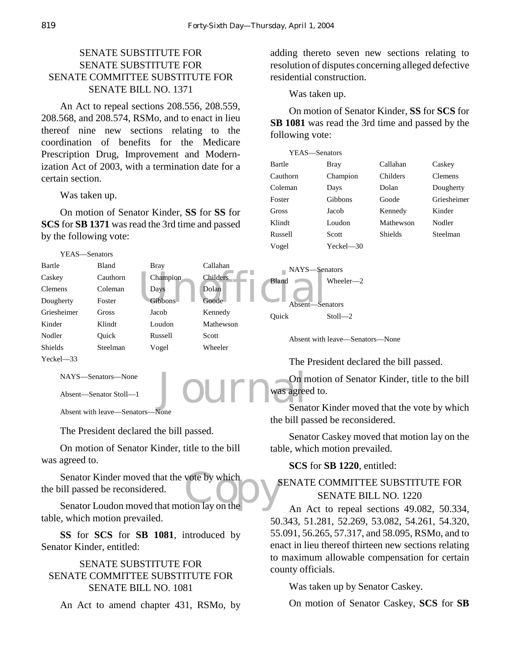#### SENATE SUBSTITUTE FOR SENATE SUBSTITUTE FOR SENATE COMMITTEE SUBSTITUTE FOR SENATE BILL NO. 1371

An Act to repeal sections 208.556, 208.559, 208.568, and 208.574, RSMo, and to enact in lieu thereof nine new sections relating to the coordination of benefits for the Medicare Prescription Drug, Improvement and Modernization Act of 2003, with a termination date for a certain section.

Was taken up.

On motion of Senator Kinder, **SS** for **SS** for **SCS** for **SB 1371** was read the 3rd time and passed by the following vote:



```
NAYS—Senators—None
```
Absent—Senator Stoll—1

Absent with leave—Senators—None

The President declared the bill passed.

On motion of Senator Kinder, title to the bill was agreed to.

Senator Kinder moved that the vote by which<br>
ill passed be reconsidered.<br>
Senator Loudon moved that motion lay on the the bill passed be reconsidered.

Senator Loudon moved that motion lay on the table, which motion prevailed.

**SS** for **SCS** for **SB 1081**, introduced by Senator Kinder, entitled:

#### SENATE SUBSTITUTE FOR SENATE COMMITTEE SUBSTITUTE FOR SENATE BILL NO. 1081

An Act to amend chapter 431, RSMo, by

adding thereto seven new sections relating to resolution of disputes concerning alleged defective residential construction.

Was taken up.

On motion of Senator Kinder, **SS** for **SCS** for **SB 1081** was read the 3rd time and passed by the following vote:

| YEAS-Senators |           |           |                |
|---------------|-----------|-----------|----------------|
| Bartle        | Bray      | Callahan  | Caskey         |
| Cauthorn      | Champion  | Childers  | <b>Clemens</b> |
| Coleman       | Days      | Dolan     | Dougherty      |
| Foster        | Gibbons   | Goode     | Griesheimer    |
| Gross         | Jacob     | Kennedy   | Kinder         |
| Klindt        | Loudon    | Mathewson | Nodler         |
| Russell       | Scott     | Shields   | Steelman       |
| Vogel         | Yeckel-30 |           |                |

The President declared the bill passed.

Journ was agree On motion of Senator Kinder, title to the bill was agreed to.

Senator Kinder moved that the vote by which the bill passed be reconsidered.

Senator Caskey moved that motion lay on the table, which motion prevailed.

#### **SCS** for **SB 1220**, entitled:

#### SENATE COMMITTEE SUBSTITUTE FOR SENATE BILL NO. 1220

An Act to repeal sections 49.082, 50.334, 50.343, 51.281, 52.269, 53.082, 54.261, 54.320, 55.091, 56.265, 57.317, and 58.095, RSMo, and to enact in lieu thereof thirteen new sections relating to maximum allowable compensation for certain county officials.

Was taken up by Senator Caskey.

On motion of Senator Caskey, **SCS** for **SB**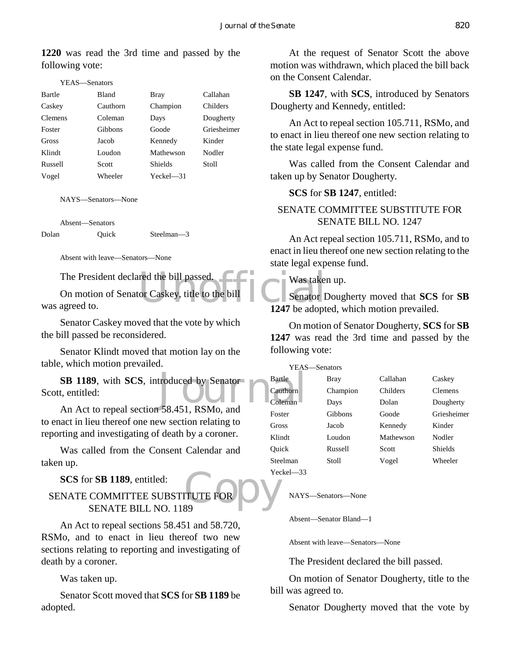**1220** was read the 3rd time and passed by the following vote:

| -Senators |
|-----------|
|           |

| Bartle         | Bland    | Bray           | Callahan    |
|----------------|----------|----------------|-------------|
| Caskey         | Cauthorn | Champion       | Childers    |
| <b>Clemens</b> | Coleman  | Days           | Dougherty   |
| Foster         | Gibbons  | Goode          | Griesheimer |
| Gross          | Jacob    | Kennedy        | Kinder      |
| Klindt         | Loudon   | Mathewson      | Nodler      |
| Russell        | Scott    | <b>Shields</b> | Stoll       |
| Vogel          | Wheeler  | $Yeckel$ $-31$ |             |

NAYS—Senators—None

Absent—Senators

Dolan Quick Steelman—3

Absent with leave—Senators—None

The President declared the bill passed.

The state of Caskey, title to the bill<br>and Senator I Senator I 1247 be adopt On motion of Senator Caskey, title to the bill was agreed to.

Senator Caskey moved that the vote by which the bill passed be reconsidered.

Senator Klindt moved that motion lay on the table, which motion prevailed.

**SB 1189**, with **SCS**, introduced by Senator<br>
t, entitled:<br>
An Act to repeal section 58.451 RSMo and Scott, entitled:

An Act to repeal section 58.451, RSMo, and to enact in lieu thereof one new section relating to reporting and investigating of death by a coroner.

Was called from the Consent Calendar and taken up.

**SCS** for **SB 1189**, entitled:

### **CONTRET CORPORATION SECTION SECTION CONTRET CORPORATION SECTION** SENATE COMMITTEE SUBSTITUTE FOR SENATE BILL NO. 1189

An Act to repeal sections 58.451 and 58.720, RSMo, and to enact in lieu thereof two new sections relating to reporting and investigating of death by a coroner.

Was taken up.

Senator Scott moved that **SCS** for **SB 1189** be adopted.

At the request of Senator Scott the above motion was withdrawn, which placed the bill back on the Consent Calendar.

**SB 1247**, with **SCS**, introduced by Senators Dougherty and Kennedy, entitled:

An Act to repeal section 105.711, RSMo, and to enact in lieu thereof one new section relating to the state legal expense fund.

Was called from the Consent Calendar and taken up by Senator Dougherty.

**SCS** for **SB 1247**, entitled:

#### SENATE COMMITTEE SUBSTITUTE FOR SENATE BILL NO. 1247

An Act repeal section 105.711, RSMo, and to enact in lieu thereof one new section relating to the state legal expense fund.

Was taken up.

Senator Dougherty moved that **SCS** for **SB 1247** be adopted, which motion prevailed.

On motion of Senator Dougherty, **SCS** for **SB 1247** was read the 3rd time and passed by the following vote:

YEAS—Senators

| Bartle       | Bray     | Callahan  | Caskey         |
|--------------|----------|-----------|----------------|
| Cauthorn     | Champion | Childers  | <b>Clemens</b> |
| Coleman      | Days     | Dolan     | Dougherty      |
| Foster       | Gibbons  | Goode     | Griesheimer    |
| Gross        | Jacob    | Kennedy   | Kinder         |
| Klindt       | Loudon   | Mathewson | Nodler         |
| Ouick        | Russell  | Scott     | Shields        |
| Steelman     | Stoll    | Vogel     | Wheeler        |
| $V$ eckel 33 |          |           |                |

Yeckel—33

NAYS—Senators—None

Absent—Senator Bland—1

Absent with leave—Senators—None

The President declared the bill passed.

On motion of Senator Dougherty, title to the bill was agreed to.

Senator Dougherty moved that the vote by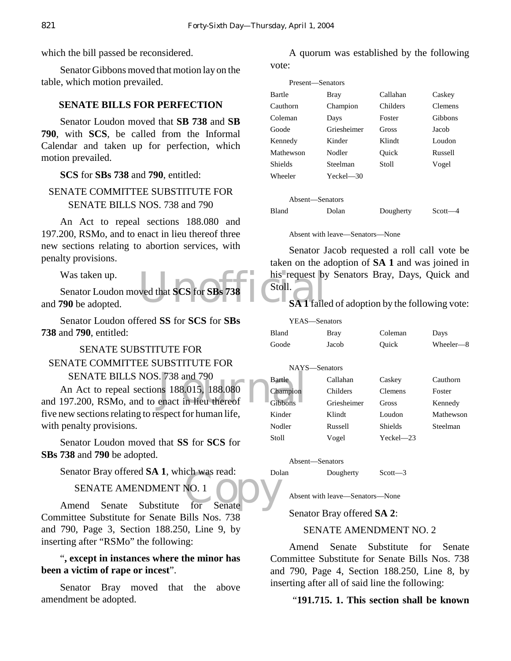which the bill passed be reconsidered.

Senator Gibbons moved that motion lay on the table, which motion prevailed.

#### **SENATE BILLS FOR PERFECTION**

Senator Loudon moved that **SB 738** and **SB 790**, with **SCS**, be called from the Informal Calendar and taken up for perfection, which motion prevailed.

#### **SCS** for **SBs 738** and **790**, entitled:

#### SENATE COMMITTEE SUBSTITUTE FOR SENATE BILLS NOS. 738 and 790

An Act to repeal sections 188.080 and 197.200, RSMo, and to enact in lieu thereof three new sections relating to abortion services, with penalty provisions.

Was taken up.

Ned that SCS for SBs 738 his request by<br>Stoll.<br>SA 1 faile Senator Loudon moved that **SCS** for **SBs 738** and **790** be adopted.

Senator Loudon offered **SS** for **SCS** for **SBs 738** and **790**, entitled:

#### SENATE SUBSTITUTE FOR SENATE COMMITTEE SUBSTITUTE FOR SENATE BILLS NOS. 738 and 790

The State<br>
and 790<br>
and 188.015, 188.080<br>
and the State<br>
Champion<br>
Cibbons<br>
Cibbons An Act to repeal sections 188.015, 188.080 and 197.200, RSMo, and to enact in lieu thereof five new sections relating to respect for human life, with penalty provisions.

Senator Loudon moved that **SS** for **SCS** for **SBs 738** and **790** be adopted.

Senator Bray offered **SA 1**, which was read:

SENATE AMENDMENT NO. 1

NO. 1<br>NO. 1<br>for Senate Amend Senate Substitute for Senate Committee Substitute for Senate Bills Nos. 738 and 790, Page 3, Section 188.250, Line 9, by inserting after "RSMo" the following:

#### "**, except in instances where the minor has been a victim of rape or incest**".

Senator Bray moved that the above amendment be adopted.

A quorum was established by the following vote:

| Present—Senators |                |           |         |
|------------------|----------------|-----------|---------|
| Bartle           | Bray           | Callahan  | Caskey  |
| Cauthorn         | Champion       | Childers  | Clemens |
| Coleman          | Days           | Foster    | Gibbons |
| Goode            | Griesheimer    | Gross     | Jacob   |
| Kennedy          | Kinder         | Klindt    | Loudon  |
| Mathewson        | Nodler         | Ouick     | Russell |
| Shields          | Steelman       | Stoll     | Vogel   |
| Wheeler          | $Yeckel$ $-30$ |           |         |
|                  |                |           |         |
| Absent—Senators  |                |           |         |
| <b>Bland</b>     | Dolan          | Dougherty | Scott-  |

Absent with leave—Senators—None

Senator Jacob requested a roll call vote be taken on the adoption of **SA 1** and was joined in his request by Senators Bray, Days, Quick and Stoll.

#### **SA 1** failed of adoption by the following vote:

| YEAS—Senators |              |                 |                |           |
|---------------|--------------|-----------------|----------------|-----------|
|               | <b>Bland</b> | Bray            | Coleman        | Days      |
|               | Goode        | Jacob           | Ouick          | Wheeler-8 |
|               |              |                 |                |           |
| NAYS—Senators |              |                 |                |           |
|               | Bartle       | Callahan        | Caskey         | Cauthorn  |
|               | Champion     | <b>Childers</b> | <b>Clemens</b> | Foster    |
|               | Gibbons      | Griesheimer     | Gross          | Kennedy   |
|               | Kinder       | Klindt          | Loudon         | Mathewson |
|               | Nodler       | Russell         | Shields        | Steelman  |
|               | Stoll        | Vogel           | $Yeckel - 23$  |           |
|               |              |                 |                |           |

Absent—Senators

Dolan Dougherty Scott—3

Absent with leave—Senators—None

Senator Bray offered **SA 2**:

#### SENATE AMENDMENT NO. 2

Amend Senate Substitute for Senate Committee Substitute for Senate Bills Nos. 738 and 790, Page 4, Section 188.250, Line 8, by inserting after all of said line the following:

#### "**191.715. 1. This section shall be known**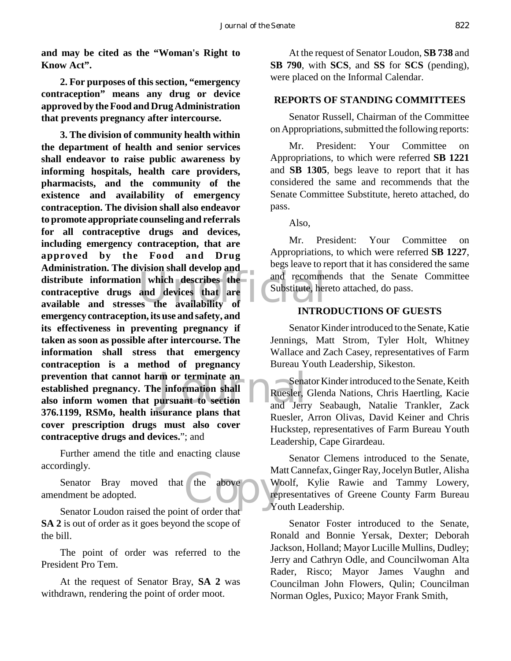**and may be cited as the "Woman's Right to Know Act".**

**2. For purposes of this section, "emergency contraception" means any drug or device approved by the Food and Drug Administration that prevents pregnancy after intercourse.**

distribute information which describes the and recomme contraceptive drugs and devices that are available and stresses the availability of m or terminate an Sena<br>
e information shall<br>
oursuant to section<br>
and Jerr **3. The division of community health within the department of health and senior services shall endeavor to raise public awareness by informing hospitals, health care providers, pharmacists, and the community of the existence and availability of emergency contraception. The division shall also endeavor to promote appropriate counseling and referrals for all contraceptive drugs and devices, including emergency contraception, that are approved by the Food and Drug Administration. The division shall develop and distribute information which describes the contraceptive drugs and devices that are emergency contraception, its use and safety, and its effectiveness in preventing pregnancy if taken as soon as possible after intercourse. The information shall stress that emergency contraception is a method of pregnancy prevention that cannot harm or terminate an established pregnancy. The information shall also inform women that pursuant to section 376.1199, RSMo, health insurance plans that cover prescription drugs must also cover contraceptive drugs and devices.**"; and

Further amend the title and enacting clause accordingly.

the above We<br>
The Corder that Senator Bray moved that the above amendment be adopted.

Senator Loudon raised the point of order that **SA 2** is out of order as it goes beyond the scope of the bill.

The point of order was referred to the President Pro Tem.

At the request of Senator Bray, **SA 2** was withdrawn, rendering the point of order moot.

At the request of Senator Loudon, **SB 738** and **SB 790**, with **SCS**, and **SS** for **SCS** (pending), were placed on the Informal Calendar.

#### **REPORTS OF STANDING COMMITTEES**

Senator Russell, Chairman of the Committee on Appropriations, submitted the following reports:

Mr. President: Your Committee on Appropriations, to which were referred **SB 1221** and **SB 1305**, begs leave to report that it has considered the same and recommends that the Senate Committee Substitute, hereto attached, do pass.

Also,

Mr. President: Your Committee on Appropriations, to which were referred **SB 1227**, begs leave to report that it has considered the same and recommends that the Senate Committee Substitute, hereto attached, do pass.

#### **INTRODUCTIONS OF GUESTS**

Senator Kinder introduced to the Senate, Katie Jennings, Matt Strom, Tyler Holt, Whitney Wallace and Zach Casey, representatives of Farm Bureau Youth Leadership, Sikeston.

Senator Kinder introduced to the Senate, Keith Ruesler, Glenda Nations, Chris Haertling, Kacie and Jerry Seabaugh, Natalie Trankler, Zack Ruesler, Arron Olivas, David Keiner and Chris Huckstep, representatives of Farm Bureau Youth Leadership, Cape Girardeau.

Senator Clemens introduced to the Senate, Matt Cannefax, Ginger Ray, Jocelyn Butler, Alisha Woolf, Kylie Rawie and Tammy Lowery, representatives of Greene County Farm Bureau Youth Leadership.

Senator Foster introduced to the Senate, Ronald and Bonnie Yersak, Dexter; Deborah Jackson, Holland; Mayor Lucille Mullins, Dudley; Jerry and Cathryn Odle, and Councilwoman Alta Rader, Risco; Mayor James Vaughn and Councilman John Flowers, Qulin; Councilman Norman Ogles, Puxico; Mayor Frank Smith,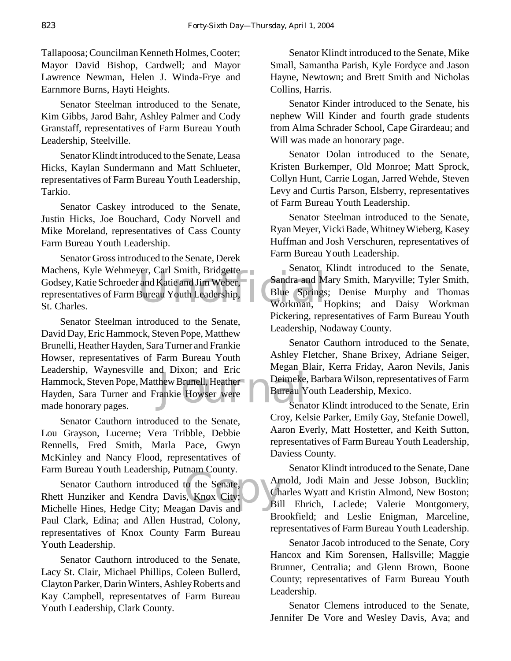Tallapoosa; Councilman Kenneth Holmes, Cooter; Mayor David Bishop, Cardwell; and Mayor Lawrence Newman, Helen J. Winda-Frye and Earnmore Burns, Hayti Heights.

Senator Steelman introduced to the Senate, Kim Gibbs, Jarod Bahr, Ashley Palmer and Cody Granstaff, representatives of Farm Bureau Youth Leadership, Steelville.

Senator Klindt introduced to the Senate, Leasa Hicks, Kaylan Sundermann and Matt Schlueter, representatives of Farm Bureau Youth Leadership, Tarkio.

Senator Caskey introduced to the Senate, Justin Hicks, Joe Bouchard, Cody Norvell and Mike Moreland, representatives of Cass County Farm Bureau Youth Leadership.

Machens, Kyle Wehmeyer, Carl Smith, Bridgette<br>
Godsey, Katie Schroeder and Katie and Jim Weber, Sandra and M<br>
representatives of Farm Bureau Youth Leadership,<br>
St. Charles.<br>
Workman, H Senator Gross introduced to the Senate, Derek Godsey, Katie Schroeder and Katie and Jim Weber, representatives of Farm Bureau Youth Leadership, St. Charles.

How Brunell, Heather<br>
Frankie Howser were Bureau Y Senator Steelman introduced to the Senate, David Day, Eric Hammock, Steven Pope, Matthew Brunelli, Heather Hayden, Sara Turner and Frankie Howser, representatives of Farm Bureau Youth Leadership, Waynesville and Dixon; and Eric Hammock, Steven Pope, Matthew Brunell, Heather Hayden, Sara Turner and Frankie Howser were made honorary pages.

Senator Cauthorn introduced to the Senate, Lou Grayson, Lucerne; Vera Tribble, Debbie Rennells, Fred Smith, Marla Pace, Gwyn McKinley and Nancy Flood, representatives of Farm Bureau Youth Leadership, Putnam County.

to the Senate,<br>s, Knox City;<br>can Davis and Bill Senator Cauthorn introduced to the Senate, Rhett Hunziker and Kendra Davis, Knox City; Michelle Hines, Hedge City; Meagan Davis and Paul Clark, Edina; and Allen Hustrad, Colony, representatives of Knox County Farm Bureau Youth Leadership.

Senator Cauthorn introduced to the Senate, Lacy St. Clair, Michael Phillips, Coleen Bullerd, Clayton Parker, Darin Winters, Ashley Roberts and Kay Campbell, representatves of Farm Bureau Youth Leadership, Clark County.

Senator Klindt introduced to the Senate, Mike Small, Samantha Parish, Kyle Fordyce and Jason Hayne, Newtown; and Brett Smith and Nicholas Collins, Harris.

Senator Kinder introduced to the Senate, his nephew Will Kinder and fourth grade students from Alma Schrader School, Cape Girardeau; and Will was made an honorary page.

Senator Dolan introduced to the Senate, Kristen Burkemper, Old Monroe; Matt Sprock, Collyn Hunt, Carrie Logan, Jarred Wehde, Steven Levy and Curtis Parson, Elsberry, representatives of Farm Bureau Youth Leadership.

Senator Steelman introduced to the Senate, Ryan Meyer, Vicki Bade, Whitney Wieberg, Kasey Huffman and Josh Verschuren, representatives of Farm Bureau Youth Leadership.

Senator Klindt introduced to the Senate, Sandra and Mary Smith, Maryville; Tyler Smith, Blue Springs; Denise Murphy and Thomas Workman, Hopkins; and Daisy Workman Pickering, representatives of Farm Bureau Youth Leadership, Nodaway County.

Senator Cauthorn introduced to the Senate, Ashley Fletcher, Shane Brixey, Adriane Seiger, Megan Blair, Kerra Friday, Aaron Nevils, Janis Deimeke, Barbara Wilson, representatives of Farm Bureau Youth Leadership, Mexico.

Senator Klindt introduced to the Senate, Erin Croy, Kelsie Parker, Emily Gay, Stefanie Dowell, Aaron Everly, Matt Hostetter, and Keith Sutton, representatives of Farm Bureau Youth Leadership, Daviess County.

Senator Klindt introduced to the Senate, Dane Arnold, Jodi Main and Jesse Jobson, Bucklin; Charles Wyatt and Kristin Almond, New Boston; Bill Ehrich, Laclede; Valerie Montgomery, Brookfield; and Leslie Enigman, Marceline, representatives of Farm Bureau Youth Leadership.

Senator Jacob introduced to the Senate, Cory Hancox and Kim Sorensen, Hallsville; Maggie Brunner, Centralia; and Glenn Brown, Boone County; representatives of Farm Bureau Youth Leadership.

Senator Clemens introduced to the Senate, Jennifer De Vore and Wesley Davis, Ava; and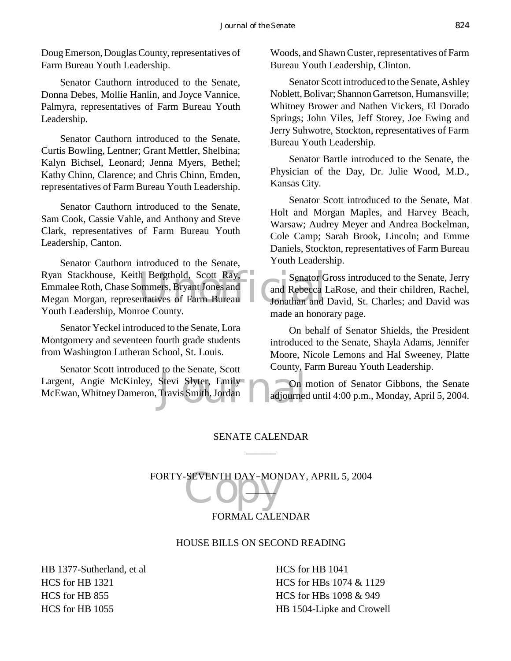Doug Emerson, Douglas County, representatives of Farm Bureau Youth Leadership.

Senator Cauthorn introduced to the Senate, Donna Debes, Mollie Hanlin, and Joyce Vannice, Palmyra, representatives of Farm Bureau Youth Leadership.

Senator Cauthorn introduced to the Senate, Curtis Bowling, Lentner; Grant Mettler, Shelbina; Kalyn Bichsel, Leonard; Jenna Myers, Bethel; Kathy Chinn, Clarence; and Chris Chinn, Emden, representatives of Farm Bureau Youth Leadership.

Senator Cauthorn introduced to the Senate, Sam Cook, Cassie Vahle, and Anthony and Steve Clark, representatives of Farm Bureau Youth Leadership, Canton.

Ryan Stackhouse, Keith Bergthold, Scott Ray,<br>
Emmalee Roth, Chase Sommers, Bryant Jones and<br>
Megan Morgan, representatives of Farm Bureau<br>
Vouth Leederskin Morgan Gourty Senator Cauthorn introduced to the Senate, Emmalee Roth, Chase Sommers, Bryant Jones and Megan Morgan, representatives of Farm Bureau Youth Leadership, Monroe County.

Senator Yeckel introduced to the Senate, Lora Montgomery and seventeen fourth grade students from Washington Lutheran School, St. Louis.

Stevi Slyter, Emily<br>Travis Smith, Jordan adjourned Senator Scott introduced to the Senate, Scott Largent, Angie McKinley, Stevi Slyter, Emily McEwan, Whitney Dameron, Travis Smith, Jordan

Woods, and Shawn Custer, representatives of Farm Bureau Youth Leadership, Clinton.

Senator Scott introduced to the Senate, Ashley Noblett, Bolivar; Shannon Garretson, Humansville; Whitney Brower and Nathen Vickers, El Dorado Springs; John Viles, Jeff Storey, Joe Ewing and Jerry Suhwotre, Stockton, representatives of Farm Bureau Youth Leadership.

Senator Bartle introduced to the Senate, the Physician of the Day, Dr. Julie Wood, M.D., Kansas City.

Senator Scott introduced to the Senate, Mat Holt and Morgan Maples, and Harvey Beach, Warsaw; Audrey Meyer and Andrea Bockelman, Cole Camp; Sarah Brook, Lincoln; and Emme Daniels, Stockton, representatives of Farm Bureau Youth Leadership.

Senator Gross introduced to the Senate, Jerry and Rebecca LaRose, and their children, Rachel, Jonathan and David, St. Charles; and David was made an honorary page.

On behalf of Senator Shields, the President introduced to the Senate, Shayla Adams, Jennifer Moore, Nicole Lemons and Hal Sweeney, Platte County, Farm Bureau Youth Leadership.

On motion of Senator Gibbons, the Senate adjourned until 4:00 p.m., Monday, April 5, 2004.

#### SENATE CALENDAR  $\overline{\phantom{a}}$

FORTY-SEVENTH DAY-MONDAY, APRIL 5, 2004  $\Box$ 

#### FORMAL CALENDAR

#### HOUSE BILLS ON SECOND READING

HB 1377-Sutherland, et al HCS for HB 1321 HCS for HB 855 HCS for HB 1055

HCS for HB 1041 HCS for HBs 1074 & 1129 HCS for HBs 1098 & 949 HB 1504-Lipke and Crowell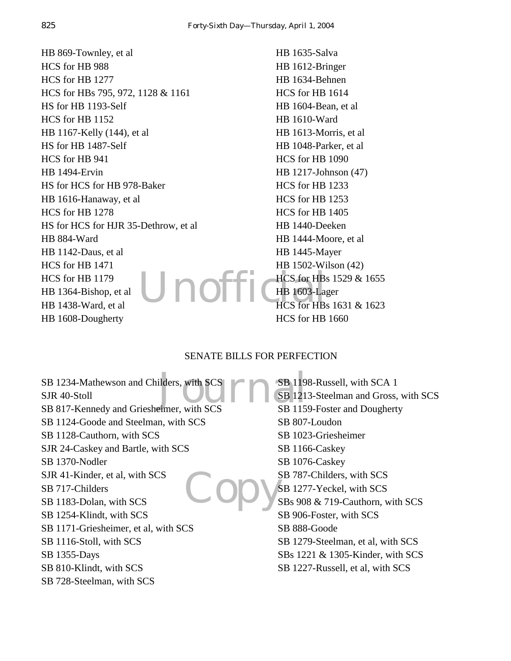Unoffiche 1603-Lag HB 869-Townley, et al HCS for HB 988 HCS for HB 1277 HCS for HBs 795, 972, 1128 & 1161 HS for HB 1193-Self HCS for HB 1152 HB 1167-Kelly (144), et al HS for HB 1487-Self HCS for HB 941 HB 1494-Ervin HS for HCS for HB 978-Baker HB 1616-Hanaway, et al HCS for HB 1278 HS for HCS for HJR 35-Dethrow, et al HB 884-Ward HB 1142-Daus, et al HCS for HB 1471 HCS for HB 1179 HB 1364-Bishop, et al HB 1438-Ward, et al HB 1608-Dougherty

HB 1635-Salva HB 1612-Bringer HB 1634-Behnen HCS for HB 1614 HB 1604-Bean, et al HB 1610-Ward HB 1613-Morris, et al HB 1048-Parker, et al HCS for HB 1090 HB 1217-Johnson (47) HCS for HB 1233 HCS for HB 1253 HCS for HB 1405 HB 1440-Deeken HB 1444-Moore, et al HB 1445-Mayer HB 1502-Wilson (42) HCS for HBs 1529 & 1655 HB 1603-Lager HCS for HBs 1631 & 1623 HCS for HB 1660

#### SENATE BILLS FOR PERFECTION

Example 119<br>SB 121<br>SB 121<br>SB 115 Copy's SB 1234-Mathewson and Childers, with SCS SJR 40-Stoll SB 817-Kennedy and Griesheimer, with SCS SB 1124-Goode and Steelman, with SCS SB 1128-Cauthorn, with SCS SJR 24-Caskey and Bartle, with SCS SB 1370-Nodler SJR 41-Kinder, et al, with SCS SB 717-Childers SB 1183-Dolan, with SCS SB 1254-Klindt, with SCS SB 1171-Griesheimer, et al, with SCS SB 1116-Stoll, with SCS SB 1355-Days SB 810-Klindt, with SCS SB 728-Steelman, with SCS

SB 1198-Russell, with SCA 1 SB 1213-Steelman and Gross, with SCS SB 1159-Foster and Dougherty SB 807-Loudon SB 1023-Griesheimer SB 1166-Caskey SB 1076-Caskey SB 787-Childers, with SCS SB 1277-Yeckel, with SCS SBs 908 & 719-Cauthorn, with SCS SB 906-Foster, with SCS SB 888-Goode SB 1279-Steelman, et al, with SCS SBs 1221 & 1305-Kinder, with SCS SB 1227-Russell, et al, with SCS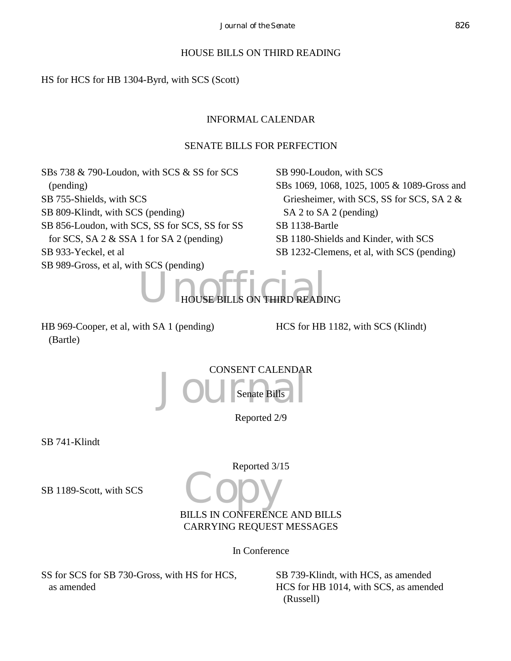#### HOUSE BILLS ON THIRD READING

HS for HCS for HB 1304-Byrd, with SCS (Scott)

#### INFORMAL CALENDAR

#### SENATE BILLS FOR PERFECTION

SBs 738 & 790-Loudon, with SCS & SS for SCS (pending) SB 755-Shields, with SCS SB 809-Klindt, with SCS (pending) SB 856-Loudon, with SCS, SS for SCS, SS for SS for SCS, SA 2 & SSA 1 for SA 2 (pending) SB 933-Yeckel, et al SB 989-Gross, et al, with SCS (pending)

SB 990-Loudon, with SCS SBs 1069, 1068, 1025, 1005 & 1089-Gross and Griesheimer, with SCS, SS for SCS, SA 2 & SA 2 to SA 2 (pending) SB 1138-Bartle SB 1180-Shields and Kinder, with SCS SB 1232-Clemens, et al, with SCS (pending)



HB 969-Cooper, et al, with SA 1 (pending) (Bartle)

HCS for HB 1182, with SCS (Klindt)

Joursen CALENDAR CONSENT CALENDAR Senate Bills

Reported 2/9

SB 741-Klindt

Reported 3/15

SB 1189-Scott, with SCS

Copy BILLS IN CONFERENCE AND BILLS CARRYING REQUEST MESSAGES

In Conference

SS for SCS for SB 730-Gross, with HS for HCS, as amended

SB 739-Klindt, with HCS, as amended HCS for HB 1014, with SCS, as amended (Russell)